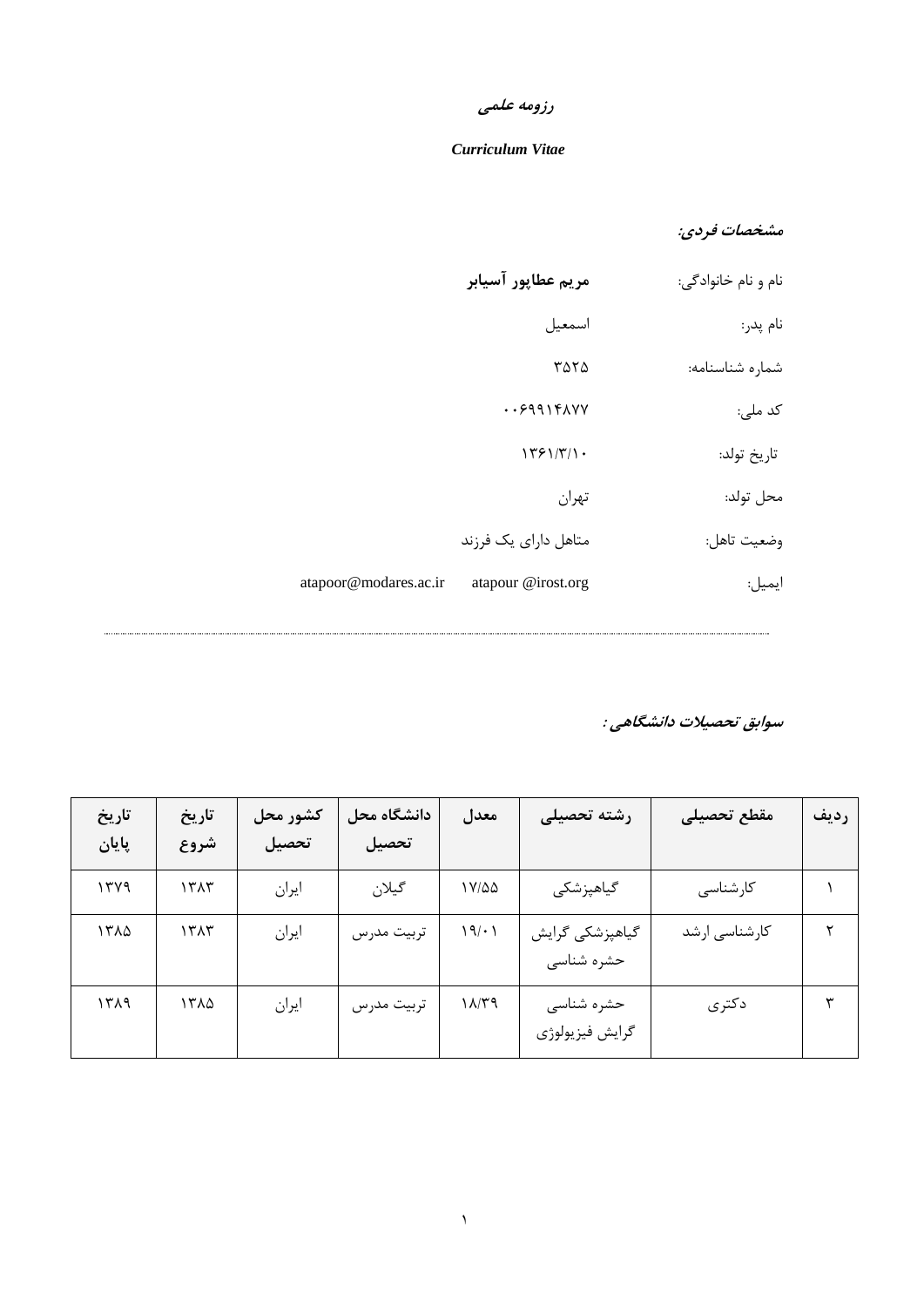# **رزومه علمی**

#### *Curriculum Vitae*

## **مشخصات فردی:**

| نام و نام خانوادگی: | مريم عطاپور آسيابر       |                       |
|---------------------|--------------------------|-----------------------|
| نام پدر:            | اسمعيل                   |                       |
| شماره شناسنامه:     | ۳۵۲۵                     |                       |
| کد ملی:             | $. .5991$ ۴ $\Lambda$ YY |                       |
| تاريخ تولد:         | 1791/T/1.                |                       |
| محل تولد:           | تهران                    |                       |
| وضعيت تاهل:         | متاهل دارای یک فرزند     |                       |
| ايميل:              | atapour @irost.org       | atapoor@modares.ac.ir |

**سوابق تحصیالت دانشگاهی :**

.....................................

| تاريخ<br>پایان | تاريخ<br>شروع | كشور محل<br>تحصيل | دانشگاه محل<br>تحصيل | معدل                     | رشته تحصيلى                   | مقطع تحصيلى   | رديف |
|----------------|---------------|-------------------|----------------------|--------------------------|-------------------------------|---------------|------|
| ۱۳۷۹           | ۱۳۸۳          | ايران             | گيلان                | ۱۷/۵۵                    | گیاهپزشکی                     | كارشناسى      |      |
| ۱۳۸۵           | ۱۳۸۳          | ايران             | تربيت مدرس           | 19/11                    | گیاهپزشکی گرایش<br>حشره شناسى | كارشناسى ارشد | ۲    |
| ۱۳۸۹           | ۱۳۸۵          | ايران             | تربيت مدرس           | $P T(\lambda / \Lambda)$ | حشره شناسى<br>گرايش فيزيولوژي | دكترى         | ٣    |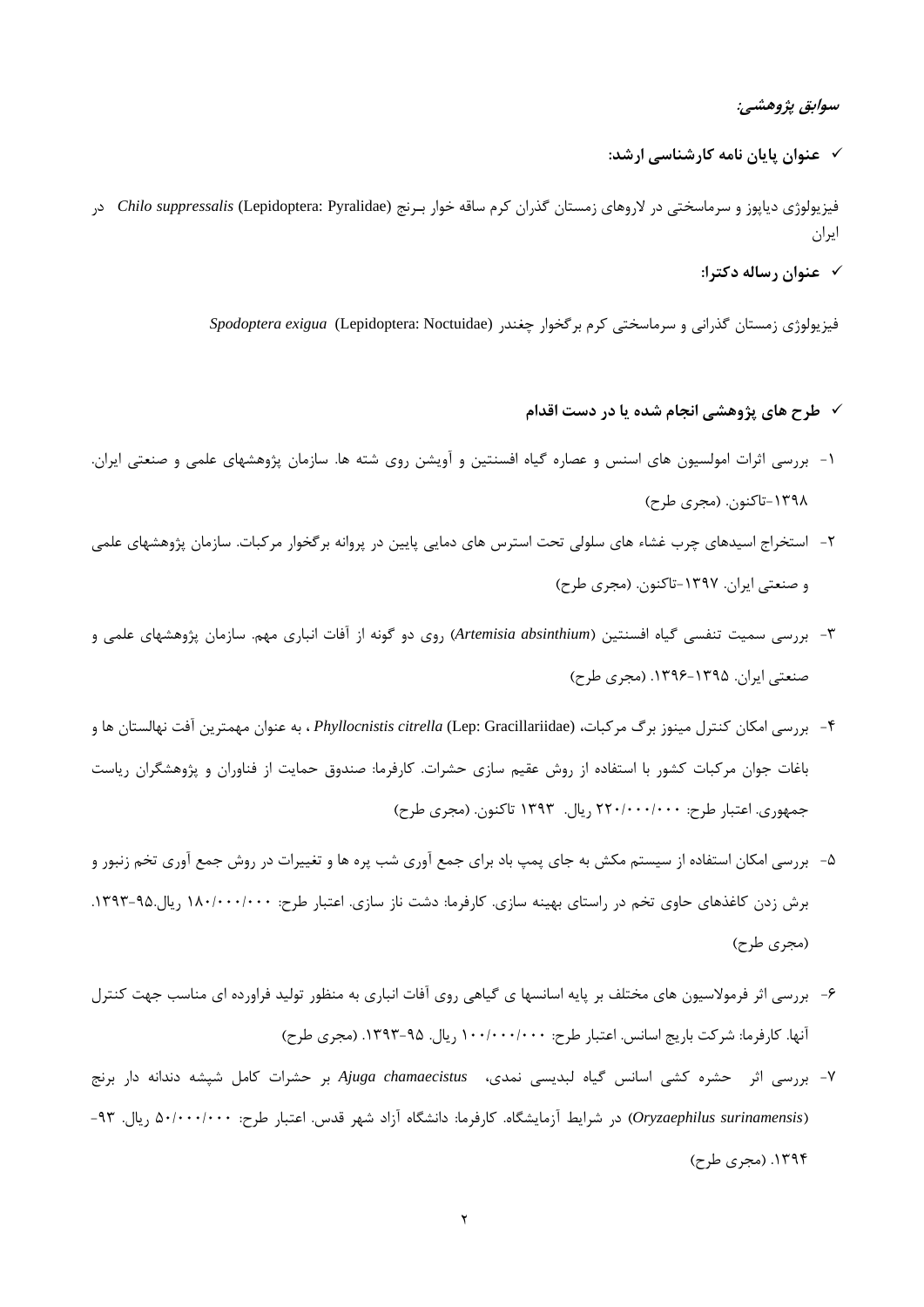#### **سوابق پژوهشی:**

**عنوان پایان نامه كارشناسی ارشد:**

فیزیولوژی دیاپوز و سرماسختی در لاروهای زمستان گذران کرم ساقه خوار بـرنج *(Chilo suppressalis* (Lepidoptera: Pyralidae در ایران

**عنوان رساله دكترا:**

فیزیولوژی زمستان گذرانی و سرماسختی کرم برگخوار چغندر (Noctuidae :Lepidoptera(*exigua Spodoptera*

- **طرح های پژوهشی انجام شده یا در دست اقدام**
- -1 بررسی اثرات امولسیون های اسنس و عصاره گیاه افسنتین و آویشن روی شته ها. سازمان پژوهشهای علمی و صنعتی ایران. ۱۳۹۸-تاکنون. (مجری طرح)
- -2 استخراج اسیدهای چرب غشاء های سلولی تحت استرس های دمایی پایین در پروانه برگخوار مرکبات. سازمان پژوهشهای علمی و صنعتی ایران. ۱۳۹۷-تاکنون. (مجری طرح)
- -3 بررسی سمیت تنفسی گیاه افسنتین )*absinthium Artemisia* )روی دو گونه از آفات انباری مهم. سازمان پژوهشهای علمی و صنعتی ایران. .1396-1395 )مجری طرح(
- -4 بررسی امکان کنترل مینوز برگ مرکبات، (Gracillariidae :Lep (*citrella Phyllocnistis* ، به عنوان مهمترین آفت نهالستان ها و باغات جوان مرکبات کشور با استفاده از روش عقیم سازی حشرات. کارفرما: صندوق حمایت از فناوران و پژوهشگران ریاست جمهوری. اعتبار طرح: 220/000/000 ریال. 1393 تاکنون. )مجری طرح(
- -5 بررسی امکان استفاده از سیستم مکش به جای پمپ باد برای جمع آوری شب پره ها و تغییرات در روش جمع آوری تخم زنبور و برش زدن کاغذهای حاوی تخم در راستای بهینه سازی. کارفرما: دشت ناز سازی. اعتبار طرح: 180/000/000 ریال.1393-95. )مجری طرح(
- -6 بررسی اثر فرموالسیون های مختلف بر پایه اسانسها ی گیاهی روی آفات انباری به منظور تولید فراورده ای مناسب جهت کنترل آنها. کارفرما: شرکت باریج اسانس. اعتبار طرح: ۱۰۰/۰۰۰/۰۰۰ ریال. ۹۵-۱۳۹۳. (مجری طرح)
- -7 بررسی اثر حشره کشی اسانس گیاه لبدیسی نمدی، *chamaecistus Ajuga* بر حشرات کامل شپشه دندانه دار برن )*surinamensis Oryzaephilus* )در شرایط آزمایشگاه. کارفرما: دانشگاه آزاد شهر قدس. اعتبار طرح: 50/000/000 ریال. -93 ۱۳۹۴. (مجری طرح)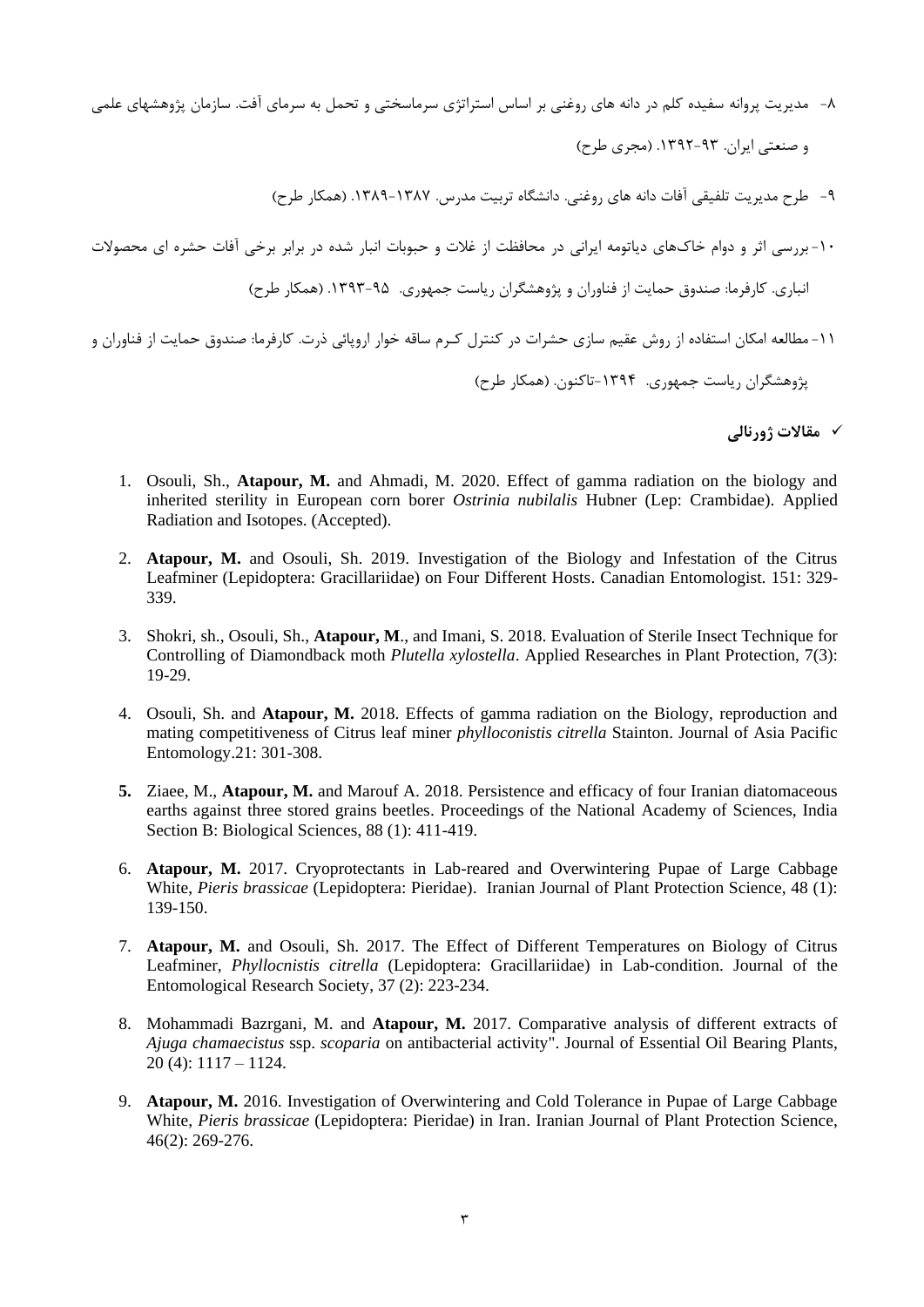-8 مدیریت پروانه سفیده کلم در دانه های روغنی بر اساس استراتژی سرماسختی و تحمل به سرمای آفت. سازمان پژوهشهای علمی و صنعتی ایران. ۹۳-۱۳۹۲. (مجری طرح)

-9 طرح مدیریت تلفیقی آفات دانه های روغنی. دانشگاه تربیت مدرس. .1389-1387 )همکار طرح(

-10 بررسی اثر و دوام خاکهای دیاتومه ایرانی در محافظت از غالت و حبوبات انبار شده در برابر برخی آفات حشره ای محصوالت انباری. کارفرما: صندوق حمایت از فناوران و پژوهشگران ریاست جمهوری. .1393-95 )همکار طرح( -11مطالعه امکان استفاده از روش عقیم سازی حشرات در کنترل کررم ساقه خوار اروپائی ذرت. کارفرما: صندوق حمایت از فناوران و پژوهشگران ریاست جمهوری. -1394تاکنون. )همکار طرح(

**مقاالت ژورنالی**

- 1. Osouli, Sh., **Atapour, M.** and Ahmadi, M. 2020. Effect of gamma radiation on the biology and inherited sterility in European corn borer *Ostrinia nubilalis* Hubner (Lep: Crambidae). Applied Radiation and Isotopes. (Accepted).
- 2. **Atapour, M.** and Osouli, Sh. 2019. Investigation of the Biology and Infestation of the Citrus Leafminer (Lepidoptera: Gracillariidae) on Four Different Hosts. Canadian Entomologist. 151: 329- 339.
- 3. Shokri, sh., Osouli, Sh., **Atapour, M**., and Imani, S. 2018. Evaluation of Sterile Insect Technique for Controlling of Diamondback moth *Plutella xylostella*. Applied Researches in Plant Protection, 7(3): 19-29.
- 4. Osouli, Sh. and **Atapour, M.** 2018. Effects of gamma radiation on the Biology, reproduction and mating competitiveness of Citrus leaf miner *phylloconistis citrella* Stainton. Journal of Asia Pacific Entomology.21: 301-308.
- **5.** Ziaee, M., **Atapour, M.** and Marouf A. 2018. Persistence and efficacy of four Iranian diatomaceous earths against three stored grains beetles. Proceedings of the National Academy of Sciences, India Section B: Biological Sciences, 88 (1): 411-419.
- 6. **Atapour, M.** 2017. Cryoprotectants in Lab-reared and Overwintering Pupae of Large Cabbage White, *Pieris brassicae* (Lepidoptera: Pieridae). Iranian Journal of Plant Protection Science, 48 (1): 139-150.
- 7. **Atapour, M.** and Osouli, Sh. 2017. The Effect of Different Temperatures on Biology of Citrus Leafminer, *Phyllocnistis citrella* (Lepidoptera: Gracillariidae) in Lab-condition. Journal of the Entomological Research Society, 37 (2): 223-234.
- 8. Mohammadi Bazrgani, M. and **Atapour, M.** 2017. Comparative analysis of different extracts of *Ajuga chamaecistus* ssp. *scoparia* on antibacterial activity". Journal of Essential Oil Bearing Plants, 20 (4): 1117 – 1124.
- 9. **Atapour, M.** 2016. Investigation of Overwintering and Cold Tolerance in Pupae of Large Cabbage White, *Pieris brassicae* (Lepidoptera: Pieridae) in Iran. Iranian Journal of Plant Protection Science, 46(2): 269-276.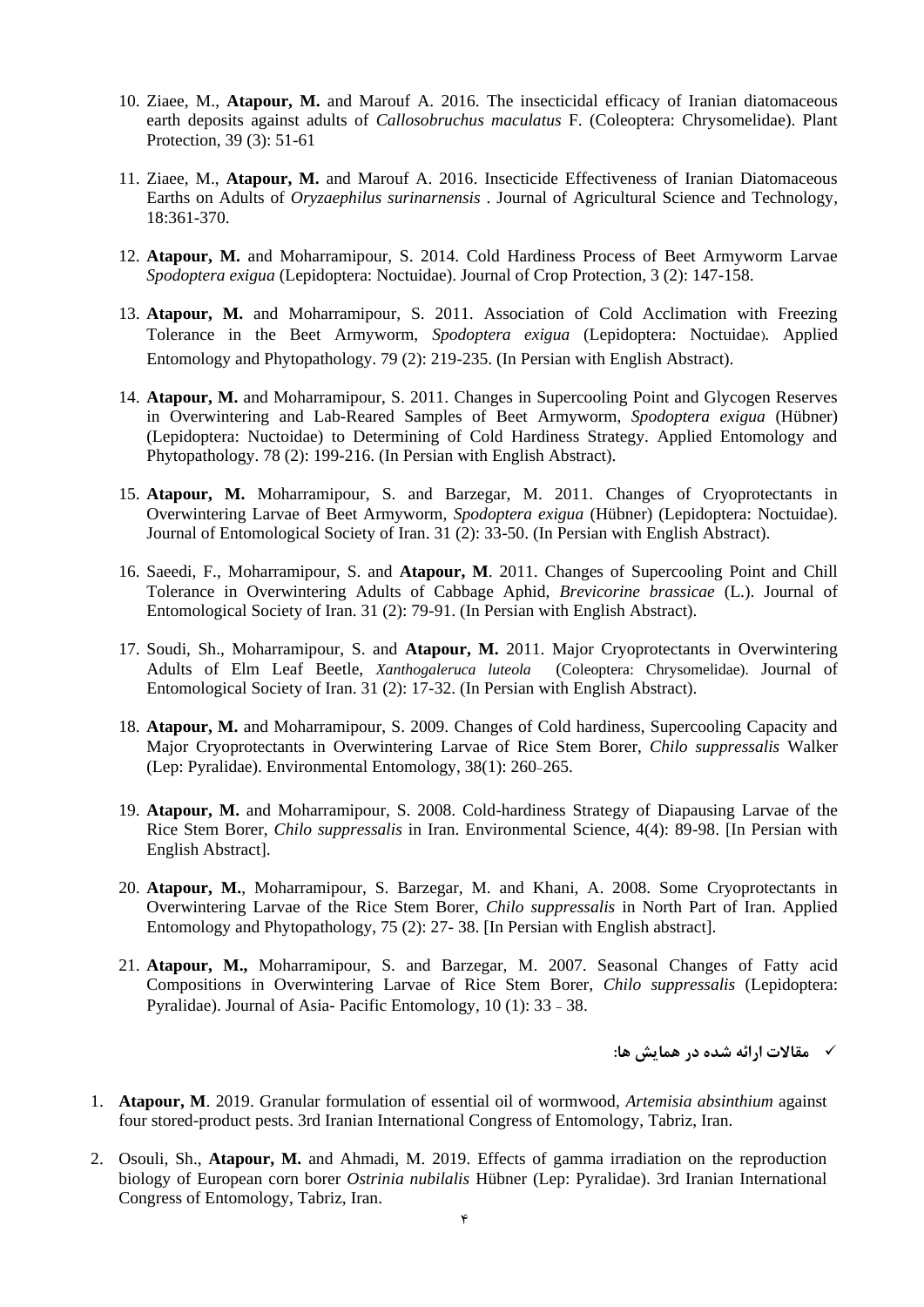- 10. Ziaee, M., **Atapour, M.** and Marouf A. 2016. The insecticidal efficacy of Iranian diatomaceous earth deposits against adults of *Callosobruchus maculatus* F. (Coleoptera: Chrysomelidae). Plant Protection, 39 (3): 51-61
- 11. Ziaee, M., **Atapour, M.** and Marouf A. 2016. Insecticide Effectiveness of Iranian Diatomaceous Earths on Adults of *Oryzaephilus surinarnensis* . Journal of Agricultural Science and Technology, 18:361-370.
- 12. **Atapour, M.** and Moharramipour, S. 2014. Cold Hardiness Process of Beet Armyworm Larvae *Spodoptera exigua* (Lepidoptera: Noctuidae). Journal of Crop Protection, 3 (2): 147-158.
- 13. **Atapour, M.** and Moharramipour, S. 2011. Association of Cold Acclimation with Freezing Tolerance in the Beet Armyworm, *Spodoptera exigua* (Lepidoptera: Noctuidae). Applied Entomology and Phytopathology. 79 (2): 219-235. (In Persian with English Abstract).
- 14. **Atapour, M.** and Moharramipour, S. 2011. Changes in Supercooling Point and Glycogen Reserves in Overwintering and Lab-Reared Samples of Beet Armyworm, *Spodoptera exigua* (Hübner) (Lepidoptera: Nuctoidae) to Determining of Cold Hardiness Strategy. Applied Entomology and Phytopathology. 78 (2): 199-216. (In Persian with English Abstract).
- 15. **Atapour, M.** Moharramipour, S. and Barzegar, M. 2011. Changes of Cryoprotectants in Overwintering Larvae of Beet Armyworm, *Spodoptera exigua* (Hübner) (Lepidoptera: Noctuidae). Journal of Entomological Society of Iran. 31 (2): 33-50. (In Persian with English Abstract).
- 16. Saeedi, F., Moharramipour, S. and **Atapour, M**. 2011. Changes of Supercooling Point and Chill Tolerance in Overwintering Adults of Cabbage Aphid, *Brevicorine brassicae* (L.). Journal of Entomological Society of Iran. 31 (2): 79-91. (In Persian with English Abstract).
- 17. Soudi, Sh., Moharramipour, S. and **Atapour, M.** 2011. Major Cryoprotectants in Overwintering Adults of Elm Leaf Beetle, *Xanthogaleruca luteola* (Coleoptera: Chrysomelidae). Journal of Entomological Society of Iran. 31 (2): 17-32. (In Persian with English Abstract).
- 18. **Atapour, M.** and Moharramipour, S. 2009. Changes of Cold hardiness, Supercooling Capacity and Major Cryoprotectants in Overwintering Larvae of Rice Stem Borer, *Chilo suppressalis* Walker (Lep: Pyralidae). Environmental Entomology, 38(1): 260-265.
- 19. **Atapour, M.** and Moharramipour, S. 2008. Cold-hardiness Strategy of Diapausing Larvae of the Rice Stem Borer, *Chilo suppressalis* in Iran. Environmental Science, 4(4): 89-98. [In Persian with English Abstract].
- 20. **Atapour, M.**, Moharramipour, S. Barzegar, M. and Khani, A. 2008. Some Cryoprotectants in Overwintering Larvae of the Rice Stem Borer, *Chilo suppressalis* in North Part of Iran. Applied Entomology and Phytopathology, 75 (2): 27- 38. [In Persian with English abstract].
- 21. **Atapour, M.,** Moharramipour, S. and Barzegar, M. 2007. Seasonal Changes of Fatty acid Compositions in Overwintering Larvae of Rice Stem Borer, *Chilo suppressalis* (Lepidoptera: Pyralidae). Journal of Asia- Pacific Entomology, 10 (1): 33 - 38.

**مقاالت ارائه شده در همایش ها:**

- 1. **Atapour, M**. 2019. Granular formulation of essential oil of wormwood, *Artemisia absinthium* against four stored-product pests. 3rd Iranian International Congress of Entomology, Tabriz, Iran.
- 2. Osouli, Sh., **Atapour, M.** and Ahmadi, M. 2019. Effects of gamma irradiation on the reproduction biology of European corn borer *Ostrinia nubilalis* Hübner (Lep: Pyralidae). 3rd Iranian International Congress of Entomology, Tabriz, Iran.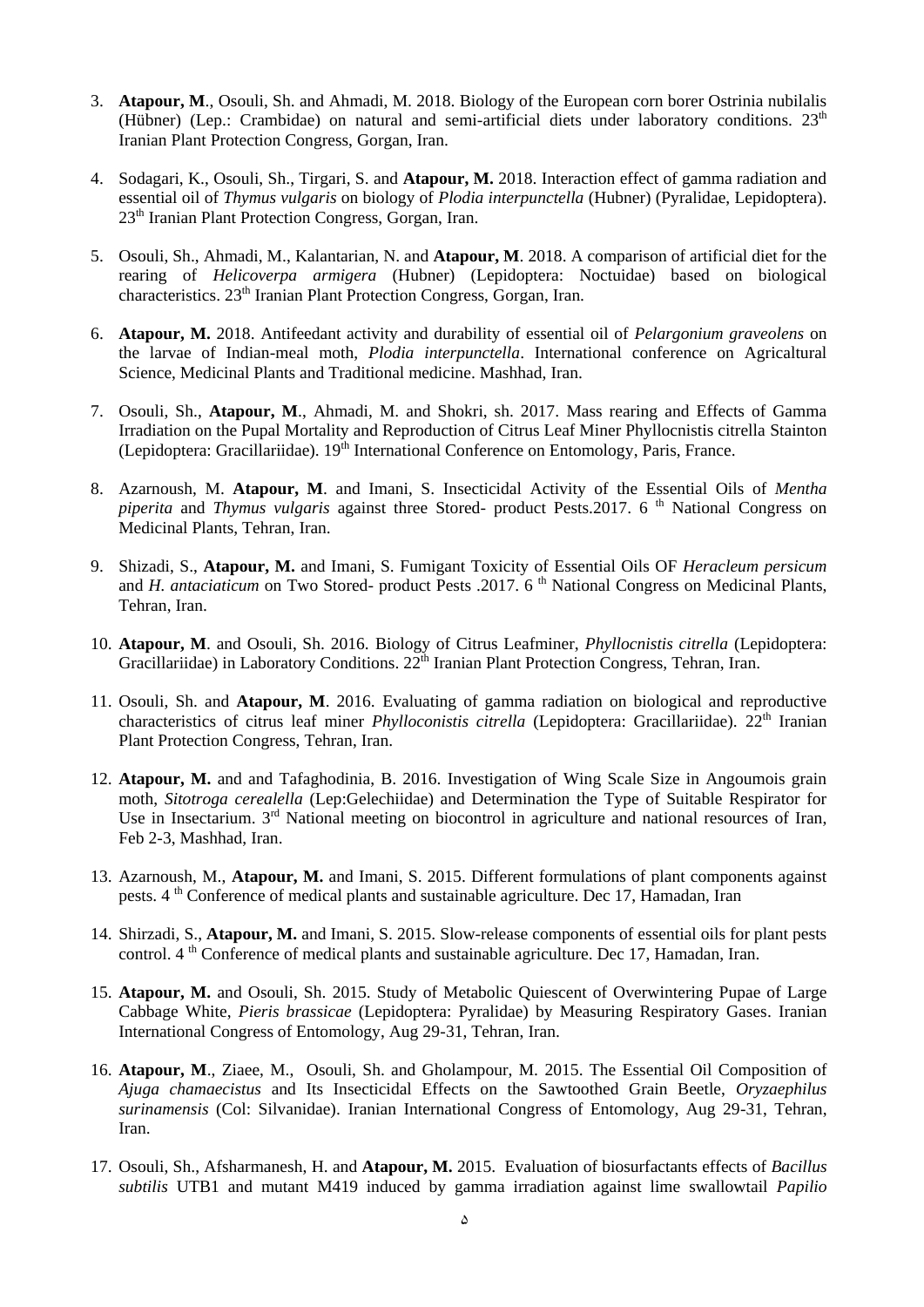- 3. **Atapour, M**., Osouli, Sh. and Ahmadi, M. 2018. Biology of the European corn borer Ostrinia nubilalis [\(Hüb](https://en.wikipedia.org/wiki/Jacob_H%C3%BCbner)ner) (Lep.: Crambidae) on natural and semi-artificial diets under laboratory conditions. 23<sup>th</sup> Iranian Plant Protection Congress, Gorgan, Iran.
- 4. Sodagari, K., Osouli, Sh., Tirgari, S. and **Atapour, M.** 2018. Interaction effect of gamma radiation and essential oil of *Thymus vulgaris* on biology of *Plodia interpunctella* (Hubner) (Pyralidae, Lepidoptera). 23<sup>th</sup> Iranian Plant Protection Congress, Gorgan, Iran.
- 5. Osouli, Sh., Ahmadi, M., Kalantarian, N. and **Atapour, M**. 2018. A comparison of artificial diet for the rearing of *Helicoverpa armigera* (Hubner) (Lepidoptera: Noctuidae) based on biological characteristics. 23<sup>th</sup> Iranian Plant Protection Congress, Gorgan, Iran.
- 6. **Atapour, M.** 2018. Antifeedant activity and durability of essential oil of *Pelargonium graveolens* on the larvae of Indian-meal moth, *Plodia interpunctella*. International conference on Agricaltural Science, Medicinal Plants and Traditional medicine. Mashhad, Iran.
- 7. Osouli, Sh., **Atapour, M**., Ahmadi, M. and Shokri, sh. 2017. Mass rearing and Effects of Gamma Irradiation on the Pupal Mortality and Reproduction of Citrus Leaf Miner Phyllocnistis citrella Stainton (Lepidoptera: Gracillariidae). 19<sup>th</sup> International Conference on Entomology, Paris, France.
- 8. Azarnoush, M. **Atapour, M**. and Imani, S. Insecticidal Activity of the Essential Oils of *Mentha piperita* and *Thymus vulgaris* against three Stored- product Pests.2017. 6<sup>th</sup> National Congress on Medicinal Plants, Tehran, Iran.
- 9. Shizadi, S., **Atapour, M.** and Imani, S. Fumigant Toxicity of Essential Oils OF *Heracleum persicum* and *H. antaciaticum* on Two Stored- product Pests .2017. 6<sup>th</sup> National Congress on Medicinal Plants, Tehran, Iran.
- 10. **Atapour, M**. and Osouli, Sh. 2016. Biology of Citrus Leafminer, *Phyllocnistis citrella* (Lepidoptera: Gracillariidae) in Laboratory Conditions. 22<sup>th</sup> Iranian Plant Protection Congress, Tehran, Iran.
- 11. Osouli, Sh. and **Atapour, M**. 2016. Evaluating of gamma radiation on biological and reproductive characteristics of citrus leaf miner *Phylloconistis citrella* (Lepidoptera: Gracillariidae). 22<sup>th</sup> Iranian Plant Protection Congress, Tehran, Iran.
- 12. **Atapour, M.** and and Tafaghodinia, B. 2016. Investigation of Wing Scale Size in Angoumois grain moth, *Sitotroga cerealella* (Lep:Gelechiidae) and Determination the Type of Suitable Respirator for Use in Insectarium. 3<sup>rd</sup> National meeting on biocontrol in agriculture and national resources of Iran, Feb 2-3, Mashhad, Iran.
- 13. Azarnoush, M., **Atapour, M.** and Imani, S. 2015. Different formulations of plant components against pests. 4 th Conference of medical plants and sustainable agriculture. Dec 17, Hamadan, Iran
- 14. Shirzadi, S., **Atapour, M.** and Imani, S. 2015. Slow-release components of essential oils for plant pests control. 4<sup>th</sup> Conference of medical plants and sustainable agriculture. Dec 17, Hamadan, Iran.
- 15. **Atapour, M.** and Osouli, Sh. 2015. Study of Metabolic Quiescent of Overwintering Pupae of Large Cabbage White, *Pieris brassicae* (Lepidoptera: Pyralidae) by Measuring Respiratory Gases. Iranian International Congress of Entomology, Aug 29-31, Tehran, Iran.
- 16. **Atapour, M**., Ziaee, M., Osouli, Sh. and Gholampour, M. 2015. The Essential Oil Composition of *Ajuga chamaecistus* and Its Insecticidal Effects on the Sawtoothed Grain Beetle, *Oryzaephilus surinamensis* (Col: Silvanidae). Iranian International Congress of Entomology, Aug 29-31, Tehran, Iran.
- 17. Osouli, Sh., Afsharmanesh, H. and **Atapour, M.** 2015. Evaluation of biosurfactants effects of *Bacillus subtilis* UTB1 and mutant M419 induced by gamma irradiation against lime swallowtail *Papilio*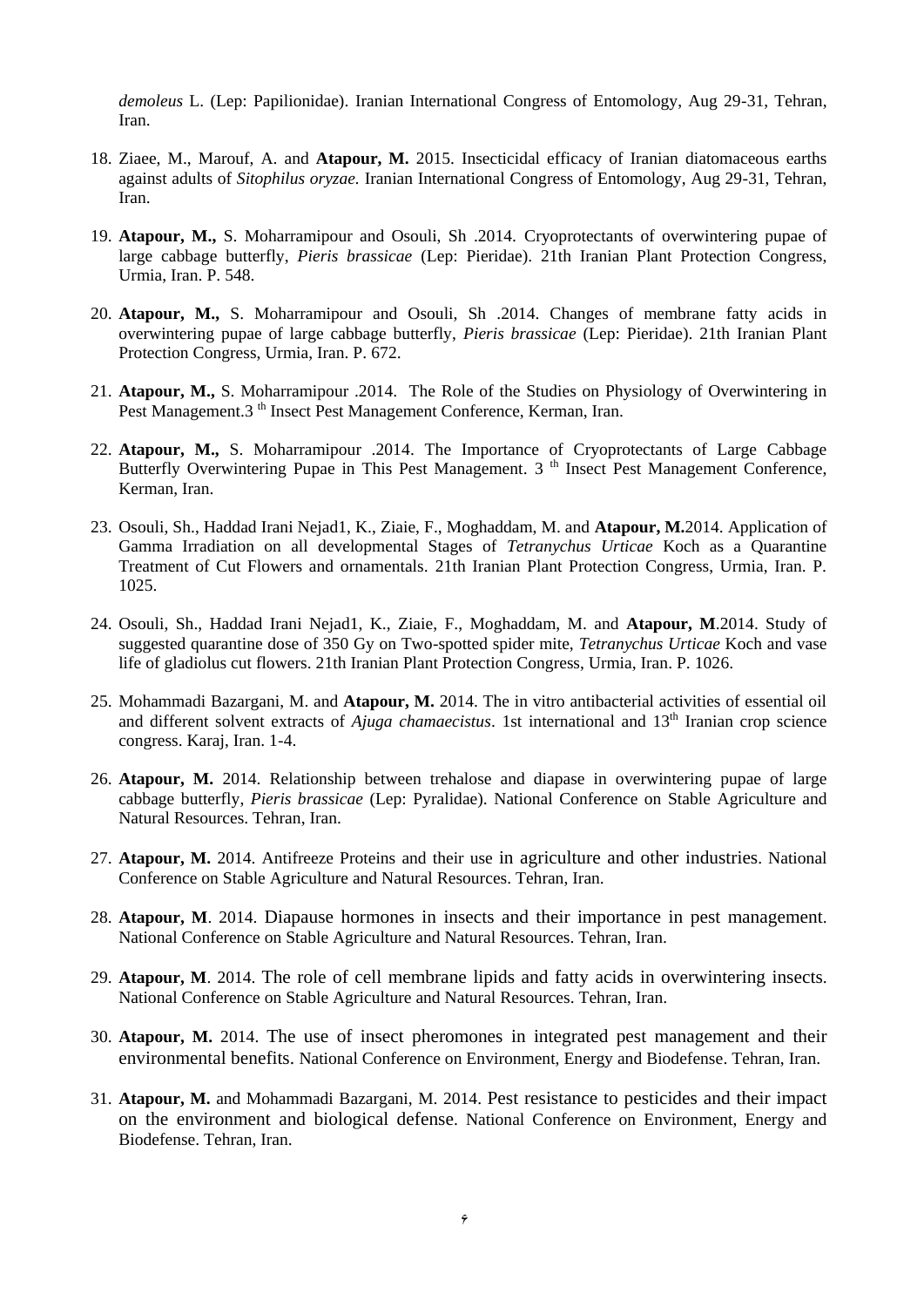*demoleus* L. (Lep: Papilionidae). Iranian International Congress of Entomology, Aug 29-31, Tehran, Iran.

- 18. Ziaee, M., Marouf, A. and **Atapour, M.** 2015. Insecticidal efficacy of Iranian diatomaceous earths against adults of *Sitophilus oryzae.* Iranian International Congress of Entomology, Aug 29-31, Tehran, Iran.
- 19. **Atapour, M.,** S. Moharramipour and Osouli, Sh .2014. Cryoprotectants of overwintering pupae of large cabbage butterfly, *Pieris brassicae* (Lep: Pieridae). 21th Iranian Plant Protection Congress, Urmia, Iran. P. 548.
- 20. **Atapour, M.,** S. Moharramipour and Osouli, Sh .2014. Changes of membrane fatty acids in overwintering pupae of large cabbage butterfly, *Pieris brassicae* (Lep: Pieridae). 21th Iranian Plant Protection Congress, Urmia, Iran. P. 672.
- 21. **Atapour, M.,** S. Moharramipour .2014. The Role of the Studies on Physiology of Overwintering in Pest Management.3<sup>th</sup> Insect Pest Management Conference, Kerman, Iran.
- 22. **Atapour, M.,** S. Moharramipour .2014. The Importance of Cryoprotectants of Large Cabbage Butterfly Overwintering Pupae in This Pest Management. 3<sup>th</sup> Insect Pest Management Conference, Kerman, Iran.
- 23. Osouli, Sh., Haddad Irani Nejad1, K., Ziaie, F., Moghaddam, M. and **Atapour, M.**2014. Application of Gamma Irradiation on all developmental Stages of *Tetranychus Urticae* Koch as a Quarantine Treatment of Cut Flowers and ornamentals. 21th Iranian Plant Protection Congress, Urmia, Iran. P. 1025.
- 24. Osouli, Sh., Haddad Irani Nejad1, K., Ziaie, F., Moghaddam, M. and **Atapour, M**.2014. Study of suggested quarantine dose of 350 Gy on Two-spotted spider mite, *Tetranychus Urticae* Koch and vase life of gladiolus cut flowers. 21th Iranian Plant Protection Congress, Urmia, Iran. P. 1026.
- 25. Mohammadi Bazargani, M. and **Atapour, M.** 2014. The in vitro antibacterial activities of essential oil and different solvent extracts of *Ajuga chamaecistus*. 1st international and 13<sup>th</sup> Iranian crop science congress. Karaj, Iran. 1-4.
- 26. **Atapour, M.** 2014. Relationship between trehalose and diapase in overwintering pupae of large cabbage butterfly, *Pieris brassicae* (Lep: Pyralidae). National Conference on Stable Agriculture and Natural Resources. Tehran, Iran.
- 27. **Atapour, M.** 2014. Antifreeze Proteins and their use in agriculture and other industries. National Conference on Stable Agriculture and Natural Resources. Tehran, Iran.
- 28. **Atapour, M**. 2014. Diapause hormones in insects and their importance in pest management. National Conference on Stable Agriculture and Natural Resources. Tehran, Iran.
- 29. **Atapour, M**. 2014. The role of cell membrane lipids and fatty acids in overwintering insects. National Conference on Stable Agriculture and Natural Resources. Tehran, Iran.
- 30. **Atapour, M.** 2014. The use of insect pheromones in integrated pest management and their environmental benefits. National Conference on Environment, Energy and Biodefense. Tehran, Iran.
- 31. **Atapour, M.** and Mohammadi Bazargani, M. 2014. Pest resistance to pesticides and their impact on the environment and biological defense. National Conference on Environment, Energy and Biodefense. Tehran, Iran.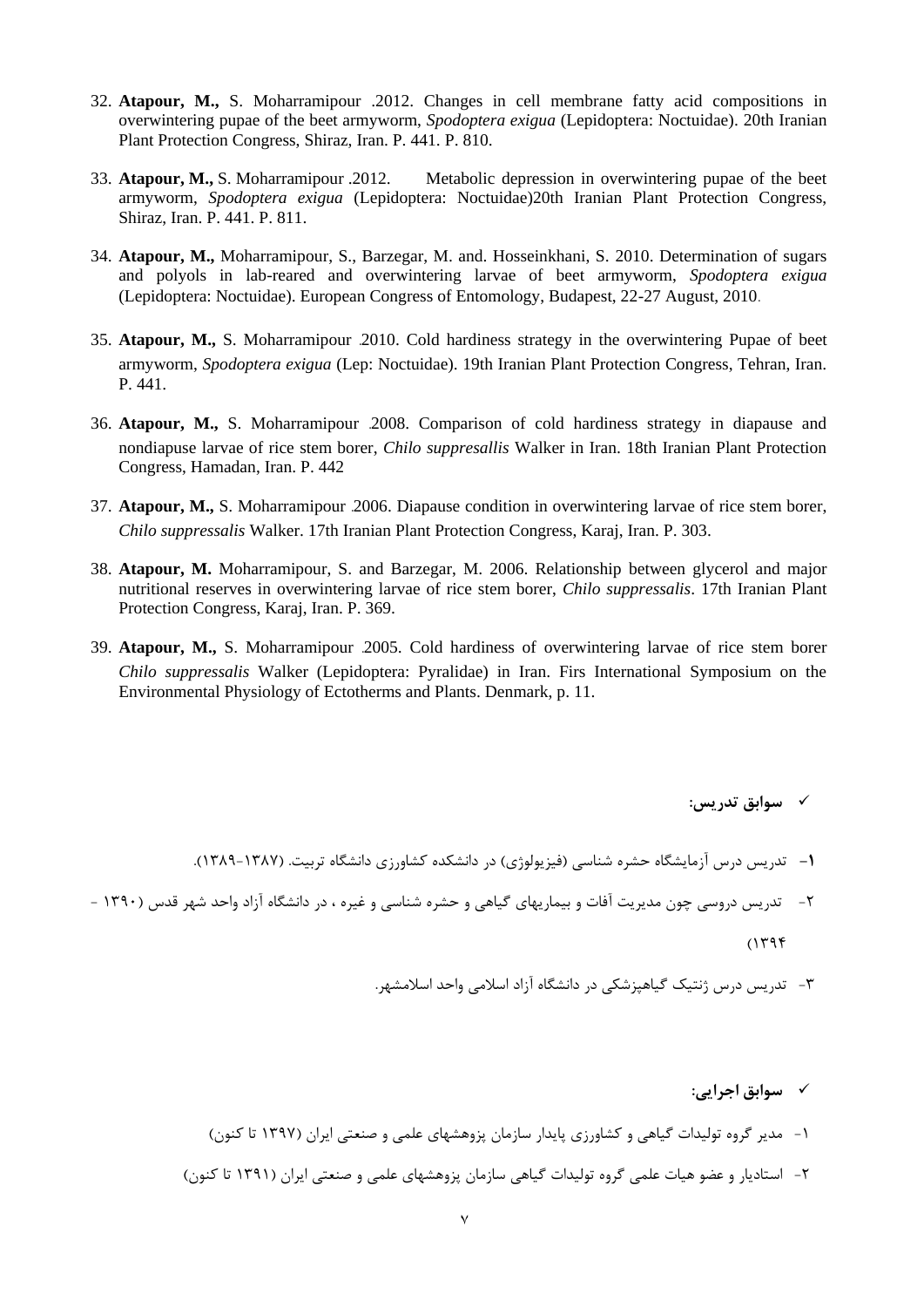- 32. **Atapour, M.,** S. Moharramipour .2012. Changes in cell membrane fatty acid compositions in overwintering pupae of the beet armyworm, *Spodoptera exigua* (Lepidoptera: Noctuidae). 20th Iranian Plant Protection Congress, Shiraz, Iran. P. 441. P. 810.
- 33. **Atapour, M.,** S. Moharramipour .2012. Metabolic depression in overwintering pupae of the beet armyworm, *Spodoptera exigua* (Lepidoptera: Noctuidae)20th Iranian Plant Protection Congress, Shiraz, Iran. P. 441. P. 811.
- 34. **Atapour, M.,** Moharramipour, S., Barzegar, M. and. Hosseinkhani, S. 2010. Determination of sugars and polyols in lab-reared and overwintering larvae of beet armyworm, *Spodoptera exigua* (Lepidoptera: Noctuidae). European Congress of Entomology, Budapest, 22-27 August, 2010.
- 35. **Atapour, M.,** S. Moharramipour .2010. Cold hardiness strategy in the overwintering Pupae of beet armyworm, *Spodoptera exigua* (Lep: Noctuidae). 19th Iranian Plant Protection Congress, Tehran, Iran. P. 441.
- 36. **Atapour, M.,** S. Moharramipour .2008. Comparison of cold hardiness strategy in diapause and nondiapuse larvae of rice stem borer, *Chilo suppresallis* Walker in Iran. 18th Iranian Plant Protection Congress, Hamadan, Iran. P. 442
- 37. **Atapour, M.,** S. Moharramipour .2006. Diapause condition in overwintering larvae of rice stem borer, *Chilo suppressalis* Walker. 17th Iranian Plant Protection Congress, Karaj, Iran. P. 303.
- 38. **Atapour, M.** Moharramipour, S. and Barzegar, M. 2006. Relationship between glycerol and major nutritional reserves in overwintering larvae of rice stem borer, *Chilo suppressalis*. 17th Iranian Plant Protection Congress, Karaj, Iran. P. 369.
- 39. **Atapour, M.,** S. Moharramipour .2005. Cold hardiness of overwintering larvae of rice stem borer *Chilo suppressalis* Walker (Lepidoptera: Pyralidae) in Iran. Firs International Symposium on the Environmental Physiology of Ectotherms and Plants. Denmark, p. 11.

**سوابق تدریس:**

- **-1** تدریس درس آزمایشگاه حشره شناسی )فیزیولوژی( در دانشکده کشاورزی دانشگاه تربیت. )1389-1387(.
- -2 تدریس دروسی چون مدیریت آفات و بیماریهای گیاهی و حشره شناسی و غیره ، در دانشگاه آزاد واحد شهر قدس )1390  $(1798)$ 
	- -3 تدریس درس ژنتیک گیاهپزشکی در دانشگاه آزاد اسالمی واحد اسالمشهر.

**سوابق اجرایی:**

- -1 مدیر گروه تولیدات گیاهی و کشاورزی پایدار سازمان پزوهشهای علمی و صنعتی ایران )1397 تا کنون(
- -2 استادیار و عضو هیات علمی گروه تولیدات گیاهی سازمان پزوهشهای علمی و صنعتی ایران )1391 تا کنون(